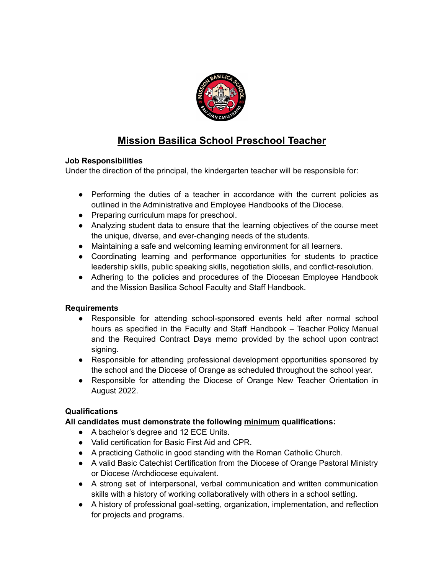

# **Mission Basilica School Preschool Teacher**

## **Job Responsibilities**

Under the direction of the principal, the kindergarten teacher will be responsible for:

- Performing the duties of a teacher in accordance with the current policies as outlined in the Administrative and Employee Handbooks of the Diocese.
- Preparing curriculum maps for preschool.
- Analyzing student data to ensure that the learning objectives of the course meet the unique, diverse, and ever-changing needs of the students.
- Maintaining a safe and welcoming learning environment for all learners.
- Coordinating learning and performance opportunities for students to practice leadership skills, public speaking skills, negotiation skills, and conflict-resolution.
- Adhering to the policies and procedures of the Diocesan Employee Handbook and the Mission Basilica School Faculty and Staff Handbook.

## **Requirements**

- Responsible for attending school-sponsored events held after normal school hours as specified in the Faculty and Staff Handbook – Teacher Policy Manual and the Required Contract Days memo provided by the school upon contract signing.
- Responsible for attending professional development opportunities sponsored by the school and the Diocese of Orange as scheduled throughout the school year.
- Responsible for attending the Diocese of Orange New Teacher Orientation in August 2022.

## **Qualifications**

## **All candidates must demonstrate the following minimum qualifications:**

- A bachelor's degree and 12 ECE Units.
- Valid certification for Basic First Aid and CPR.
- A practicing Catholic in good standing with the Roman Catholic Church.
- A valid Basic Catechist Certification from the Diocese of Orange Pastoral Ministry or Diocese /Archdiocese equivalent.
- A strong set of interpersonal, verbal communication and written communication skills with a history of working collaboratively with others in a school setting.
- A history of professional goal-setting, organization, implementation, and reflection for projects and programs.